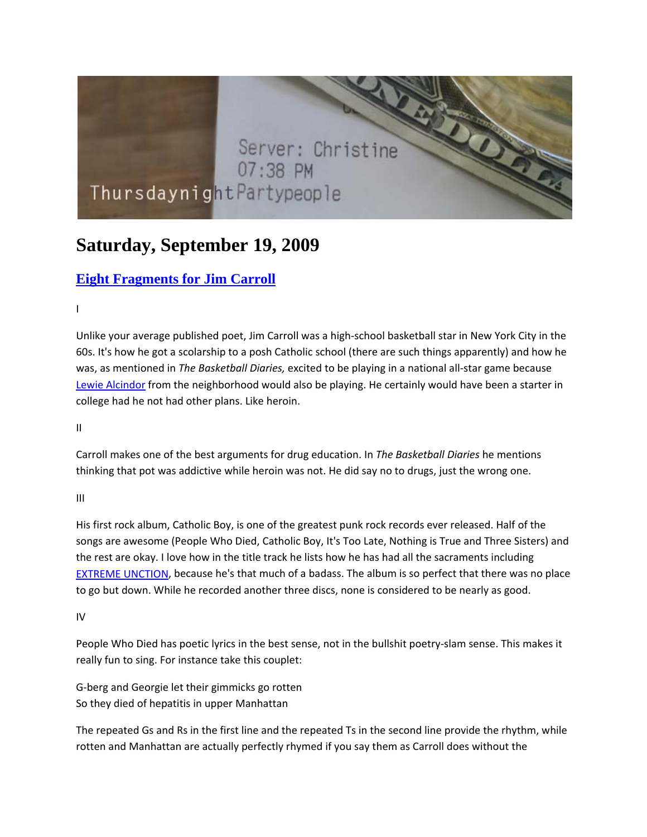# Server: Christine 07:38 PM ThursdaynightPartypeople

## **Saturday, September 19, 2009**

### **Eight Fragments for Jim Carroll**

 $\mathbf{I}$ 

Unlike your average published poet, Jim Carroll was a high‐school basketball star in New York City in the 60s. It's how he got a scolarship to a posh Catholic school (there are such things apparently) and how he was, as mentioned in *The Basketball Diaries,* excited to be playing in a national all‐star game because Lewie Alcindor from the neighborhood would also be playing. He certainly would have been a starter in college had he not had other plans. Like heroin.

II

Carroll makes one of the best arguments for drug education. In *The Basketball Diaries* he mentions thinking that pot was addictive while heroin was not. He did say no to drugs, just the wrong one.

III

His first rock album, Catholic Boy, is one of the greatest punk rock records ever released. Half of the songs are awesome (People Who Died, Catholic Boy, It's Too Late, Nothing is True and Three Sisters) and the rest are okay. I love how in the title track he lists how he has had all the sacraments including EXTREME UNCTION, because he's that much of a badass. The album is so perfect that there was no place to go but down. While he recorded another three discs, none is considered to be nearly as good.

IV

People Who Died has poetic lyrics in the best sense, not in the bullshit poetry‐slam sense. This makes it really fun to sing. For instance take this couplet:

G‐berg and Georgie let their gimmicks go rotten So they died of hepatitis in upper Manhattan

The repeated Gs and Rs in the first line and the repeated Ts in the second line provide the rhythm, while rotten and Manhattan are actually perfectly rhymed if you say them as Carroll does without the